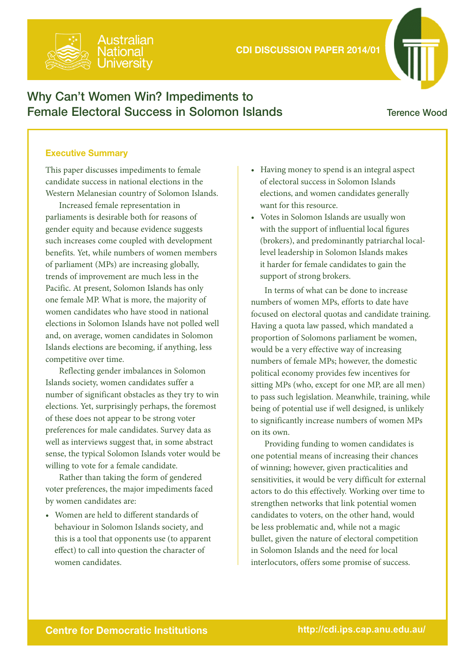

# Why Can't Women Win? Impediments to Female Electoral Success in Solomon Islands

## Terence Wood

## Executive Summary

This paper discusses impediments to female candidate success in national elections in the Western Melanesian country of Solomon Islands.

u*ıstralian* 

Increased female representation in parliaments is desirable both for reasons of gender equity and because evidence suggests such increases come coupled with development benefits. Yet, while numbers of women members of parliament (MPs) are increasing globally, trends of improvement are much less in the Pacific. At present, Solomon Islands has only one female MP. What is more, the majority of women candidates who have stood in national elections in Solomon Islands have not polled well and, on average, women candidates in Solomon Islands elections are becoming, if anything, less competitive over time.

Reflecting gender imbalances in Solomon Islands society, women candidates suffer a number of significant obstacles as they try to win elections. Yet, surprisingly perhaps, the foremost of these does not appear to be strong voter preferences for male candidates. Survey data as well as interviews suggest that, in some abstract sense, the typical Solomon Islands voter would be willing to vote for a female candidate.

Rather than taking the form of gendered voter preferences, the major impediments faced by women candidates are:

• Women are held to different standards of behaviour in Solomon Islands society, and this is a tool that opponents use (to apparent effect) to call into question the character of women candidates.

- Having money to spend is an integral aspect of electoral success in Solomon Islands elections, and women candidates generally want for this resource.
- Votes in Solomon Islands are usually won with the support of influential local figures (brokers), and predominantly patriarchal locallevel leadership in Solomon Islands makes it harder for female candidates to gain the support of strong brokers.

In terms of what can be done to increase numbers of women MPs, efforts to date have focused on electoral quotas and candidate training. Having a quota law passed, which mandated a proportion of Solomons parliament be women, would be a very effective way of increasing numbers of female MPs; however, the domestic political economy provides few incentives for sitting MPs (who, except for one MP, are all men) to pass such legislation. Meanwhile, training, while being of potential use if well designed, is unlikely to significantly increase numbers of women MPs on its own.

Providing funding to women candidates is one potential means of increasing their chances of winning; however, given practicalities and sensitivities, it would be very difficult for external actors to do this effectively. Working over time to strengthen networks that link potential women candidates to voters, on the other hand, would be less problematic and, while not a magic bullet, given the nature of electoral competition in Solomon Islands and the need for local interlocutors, offers some promise of success.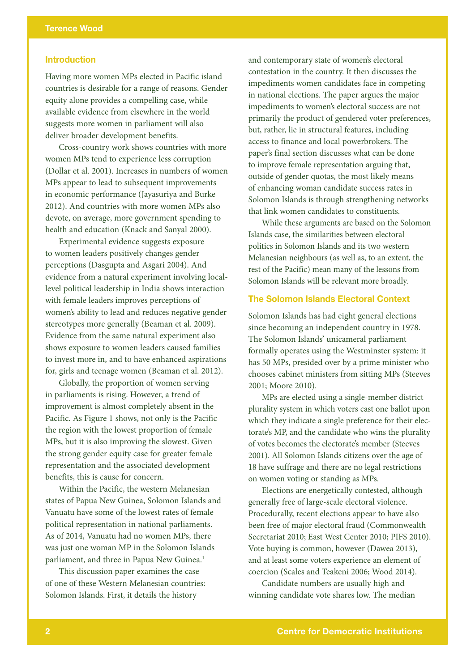## Introduction

Having more women MPs elected in Pacific island countries is desirable for a range of reasons. Gender equity alone provides a compelling case, while available evidence from elsewhere in the world suggests more women in parliament will also deliver broader development benefits.

Cross-country work shows countries with more women MPs tend to experience less corruption (Dollar et al. 2001). Increases in numbers of women MPs appear to lead to subsequent improvements in economic performance (Jayasuriya and Burke 2012). And countries with more women MPs also devote, on average, more government spending to health and education (Knack and Sanyal 2000).

Experimental evidence suggests exposure to women leaders positively changes gender perceptions (Dasgupta and Asgari 2004). And evidence from a natural experiment involving locallevel political leadership in India shows interaction with female leaders improves perceptions of women's ability to lead and reduces negative gender stereotypes more generally (Beaman et al. 2009). Evidence from the same natural experiment also shows exposure to women leaders caused families to invest more in, and to have enhanced aspirations for, girls and teenage women (Beaman et al. 2012).

Globally, the proportion of women serving in parliaments is rising. However, a trend of improvement is almost completely absent in the Pacific. As Figure 1 shows, not only is the Pacific the region with the lowest proportion of female MPs, but it is also improving the slowest. Given the strong gender equity case for greater female representation and the associated development benefits, this is cause for concern.

Within the Pacific, the western Melanesian states of Papua New Guinea, Solomon Islands and Vanuatu have some of the lowest rates of female political representation in national parliaments. As of 2014, Vanuatu had no women MPs, there was just one woman MP in the Solomon Islands parliament, and three in Papua New Guinea.<sup>1</sup>

This discussion paper examines the case of one of these Western Melanesian countries: Solomon Islands. First, it details the history

and contemporary state of women's electoral contestation in the country. It then discusses the impediments women candidates face in competing in national elections. The paper argues the major impediments to women's electoral success are not primarily the product of gendered voter preferences, but, rather, lie in structural features, including access to finance and local powerbrokers. The paper's final section discusses what can be done to improve female representation arguing that, outside of gender quotas, the most likely means of enhancing woman candidate success rates in Solomon Islands is through strengthening networks that link women candidates to constituents.

While these arguments are based on the Solomon Islands case, the similarities between electoral politics in Solomon Islands and its two western Melanesian neighbours (as well as, to an extent, the rest of the Pacific) mean many of the lessons from Solomon Islands will be relevant more broadly.

#### The Solomon Islands Electoral Context

Solomon Islands has had eight general elections since becoming an independent country in 1978. The Solomon Islands' unicameral parliament formally operates using the Westminster system: it has 50 MPs, presided over by a prime minister who chooses cabinet ministers from sitting MPs (Steeves 2001; Moore 2010).

MPs are elected using a single-member district plurality system in which voters cast one ballot upon which they indicate a single preference for their electorate's MP, and the candidate who wins the plurality of votes becomes the electorate's member (Steeves 2001). All Solomon Islands citizens over the age of 18 have suffrage and there are no legal restrictions on women voting or standing as MPs.

Elections are energetically contested, although generally free of large-scale electoral violence. Procedurally, recent elections appear to have also been free of major electoral fraud (Commonwealth Secretariat 2010; East West Center 2010; PIFS 2010). Vote buying is common, however (Dawea 2013), and at least some voters experience an element of coercion (Scales and Teakeni 2006; Wood 2014).

Candidate numbers are usually high and winning candidate vote shares low. The median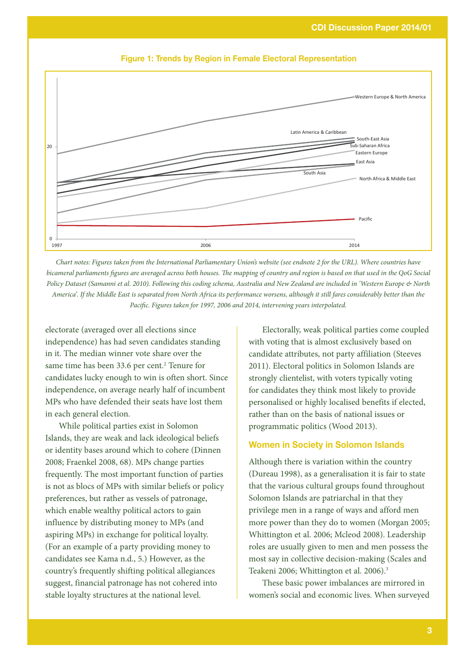

Figure 1: Trends by Region in Female Electoral Representation

*Chart notes: Figures taken from the International Parliamentary Union's website (see endnote 2 for the URL). Where countries have bicameral parliaments figures are averaged across both houses. The mapping of country and region is based on that used in the QoG Social Policy Dataset (Samanni et al. 2010). Following this coding schema, Australia and New Zealand are included in 'Western Europe & North America'. If the Middle East is separated from North Africa its performance worsens, although it still fares considerably better than the Pacific. Figures taken for 1997, 2006 and 2014, intervening years interpolated.*

electorate (averaged over all elections since independence) has had seven candidates standing in it. The median winner vote share over the same time has been 33.6 per cent.<sup>2</sup> Tenure for candidates lucky enough to win is often short. Since independence, on average nearly half of incumbent MPs who have defended their seats have lost them in each general election.

While political parties exist in Solomon Islands, they are weak and lack ideological beliefs or identity bases around which to cohere (Dinnen 2008; Fraenkel 2008, 68). MPs change parties frequently. The most important function of parties is not as blocs of MPs with similar beliefs or policy preferences, but rather as vessels of patronage, which enable wealthy political actors to gain influence by distributing money to MPs (and aspiring MPs) in exchange for political loyalty. (For an example of a party providing money to candidates see Kama n.d., 5.) However, as the country's frequently shifting political allegiances suggest, financial patronage has not cohered into stable loyalty structures at the national level.

Electorally, weak political parties come coupled with voting that is almost exclusively based on candidate attributes, not party affiliation (Steeves 2011). Electoral politics in Solomon Islands are strongly clientelist, with voters typically voting for candidates they think most likely to provide personalised or highly localised benefits if elected, rather than on the basis of national issues or programmatic politics (Wood 2013).

#### Women in Society in Solomon Islands

Although there is variation within the country (Dureau 1998), as a generalisation it is fair to state that the various cultural groups found throughout Solomon Islands are patriarchal in that they privilege men in a range of ways and afford men more power than they do to women (Morgan 2005; Whittington et al. 2006; Mcleod 2008). Leadership roles are usually given to men and men possess the most say in collective decision-making (Scales and Teakeni 2006; Whittington et al. 2006).<sup>3</sup>

These basic power imbalances are mirrored in women's social and economic lives. When surveyed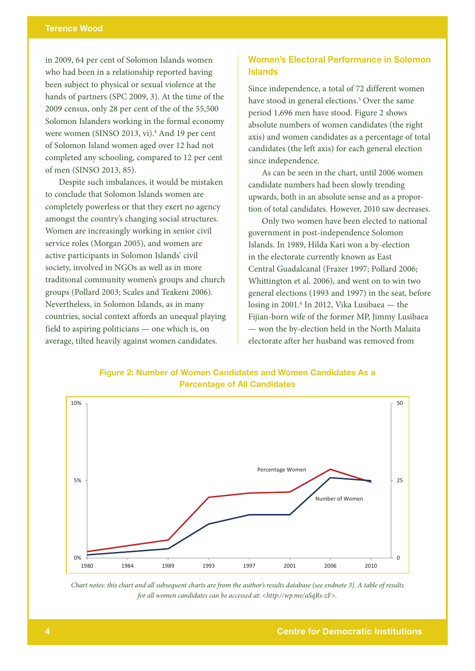in 2009, 64 per cent of Solomon Islands women who had been in a relationship reported having been subject to physical or sexual violence at the hands of partners (SPC 2009, 3). At the time of the 2009 census, only 28 per cent of the of the 55,500 Solomon Islanders working in the formal economy were women (SINSO 2013, vi).<sup>4</sup> And 19 per cent of Solomon Island women aged over 12 had not completed any schooling, compared to 12 per cent of men (SINSO 2013, 85).

Despite such imbalances, it would be mistaken to conclude that Solomon Islands women are completely powerless or that they exert no agency amongst the country's changing social structures. Women are increasingly working in senior civil service roles (Morgan 2005), and women are active participants in Solomon Islands' civil society, involved in NGOs as well as in more traditional community women's groups and church groups (Pollard 2003; Scales and Teakeni 2006). Nevertheless, in Solomon Islands, as in many countries, social context affords an unequal playing field to aspiring politicians — one which is, on average, tilted heavily against women candidates.

## Women's Electoral Performance in Solomon Islands

Since independence, a total of 72 different women have stood in general elections.<sup>5</sup> Over the same period 1,696 men have stood. Figure 2 shows absolute numbers of women candidates (the right axis) and women candidates as a percentage of total candidates (the left axis) for each general election since independence.

As can be seen in the chart, until 2006 women candidate numbers had been slowly trending upwards, both in an absolute sense and as a proportion of total candidates. However, 2010 saw decreases.

Only two women have been elected to national government in post-independence Solomon Islands. In 1989, Hilda Kari won a by-election in the electorate currently known as East Central Guadalcanal (Frazer 1997; Pollard 2006; Whittington et al. 2006), and went on to win two general elections (1993 and 1997) in the seat, before losing in 2001.<sup>6</sup> In 2012, Vika Lusibaea — the Fijian-born wife of the former MP, Jimmy Lusibaea — won the by-election held in the North Malaita electorate after her husband was removed from





*Chart notes: this chart and all subsequent charts are from the author's results database (see endnote 3). A table of results for all women candidates can be accessed at: <http://wp.me/aSqRs-zF>.*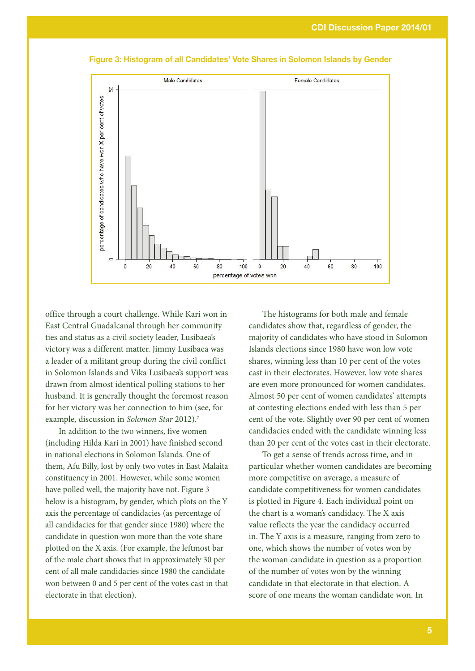

Figure 3: Histogram of all Candidates' Vote Shares in Solomon Islands by Gender

office through a court challenge. While Kari won in East Central Guadalcanal through her community ties and status as a civil society leader, Lusibaea's victory was a different matter. Jimmy Lusibaea was a leader of a militant group during the civil conflict in Solomon Islands and Vika Lusibaea's support was drawn from almost identical polling stations to her husband. It is generally thought the foremost reason for her victory was her connection to him (see, for example, discussion in *Solomon Star* 2012).7

In addition to the two winners, five women (including Hilda Kari in 2001) have finished second in national elections in Solomon Islands. One of them, Afu Billy, lost by only two votes in East Malaita constituency in 2001. However, while some women have polled well, the majority have not. Figure 3 below is a histogram, by gender, which plots on the Y axis the percentage of candidacies (as percentage of all candidacies for that gender since 1980) where the candidate in question won more than the vote share plotted on the X axis. (For example, the leftmost bar of the male chart shows that in approximately 30 per cent of all male candidacies since 1980 the candidate won between 0 and 5 per cent of the votes cast in that electorate in that election).

The histograms for both male and female candidates show that, regardless of gender, the majority of candidates who have stood in Solomon Islands elections since 1980 have won low vote shares, winning less than 10 per cent of the votes cast in their electorates. However, low vote shares are even more pronounced for women candidates. Almost 50 per cent of women candidates' attempts at contesting elections ended with less than 5 per cent of the vote. Slightly over 90 per cent of women candidacies ended with the candidate winning less than 20 per cent of the votes cast in their electorate.

To get a sense of trends across time, and in particular whether women candidates are becoming more competitive on average, a measure of candidate competitiveness for women candidates is plotted in Figure 4. Each individual point on the chart is a woman's candidacy. The X axis value reflects the year the candidacy occurred in. The Y axis is a measure, ranging from zero to one, which shows the number of votes won by the woman candidate in question as a proportion of the number of votes won by the winning candidate in that electorate in that election. A score of one means the woman candidate won. In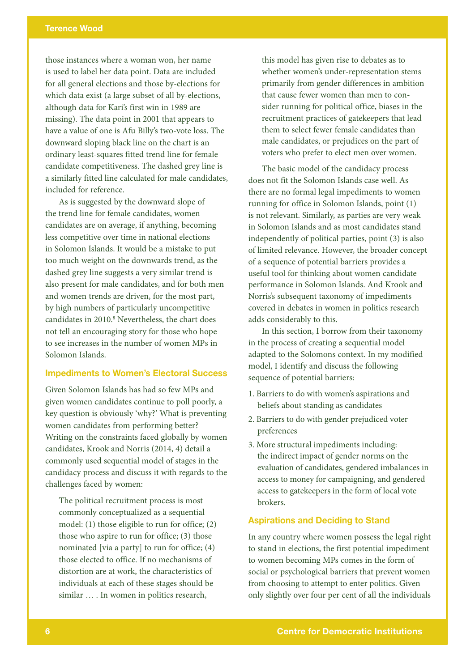those instances where a woman won, her name is used to label her data point. Data are included for all general elections and those by-elections for which data exist (a large subset of all by-elections, although data for Kari's first win in 1989 are missing). The data point in 2001 that appears to have a value of one is Afu Billy's two-vote loss. The downward sloping black line on the chart is an ordinary least-squares fitted trend line for female candidate competitiveness. The dashed grey line is a similarly fitted line calculated for male candidates, included for reference.

As is suggested by the downward slope of the trend line for female candidates, women candidates are on average, if anything, becoming less competitive over time in national elections in Solomon Islands. It would be a mistake to put too much weight on the downwards trend, as the dashed grey line suggests a very similar trend is also present for male candidates, and for both men and women trends are driven, for the most part, by high numbers of particularly uncompetitive candidates in 2010.<sup>8</sup> Nevertheless, the chart does not tell an encouraging story for those who hope to see increases in the number of women MPs in Solomon Islands.

#### Impediments to Women's Electoral Success

Given Solomon Islands has had so few MPs and given women candidates continue to poll poorly, a key question is obviously 'why?' What is preventing women candidates from performing better? Writing on the constraints faced globally by women candidates, Krook and Norris (2014, 4) detail a commonly used sequential model of stages in the candidacy process and discuss it with regards to the challenges faced by women:

The political recruitment process is most commonly conceptualized as a sequential model: (1) those eligible to run for office; (2) those who aspire to run for office; (3) those nominated [via a party] to run for office; (4) those elected to office. If no mechanisms of distortion are at work, the characteristics of individuals at each of these stages should be similar ... . In women in politics research,

this model has given rise to debates as to whether women's under-representation stems primarily from gender differences in ambition that cause fewer women than men to consider running for political office, biases in the recruitment practices of gatekeepers that lead them to select fewer female candidates than male candidates, or prejudices on the part of voters who prefer to elect men over women.

The basic model of the candidacy process does not fit the Solomon Islands case well. As there are no formal legal impediments to women running for office in Solomon Islands, point (1) is not relevant. Similarly, as parties are very weak in Solomon Islands and as most candidates stand independently of political parties, point (3) is also of limited relevance. However, the broader concept of a sequence of potential barriers provides a useful tool for thinking about women candidate performance in Solomon Islands. And Krook and Norris's subsequent taxonomy of impediments covered in debates in women in politics research adds considerably to this.

In this section, I borrow from their taxonomy in the process of creating a sequential model adapted to the Solomons context. In my modified model, I identify and discuss the following sequence of potential barriers:

- 1. Barriers to do with women's aspirations and beliefs about standing as candidates
- 2. Barriers to do with gender prejudiced voter preferences
- 3. More structural impediments including: the indirect impact of gender norms on the evaluation of candidates, gendered imbalances in access to money for campaigning, and gendered access to gatekeepers in the form of local vote brokers.

#### Aspirations and Deciding to Stand

In any country where women possess the legal right to stand in elections, the first potential impediment to women becoming MPs comes in the form of social or psychological barriers that prevent women from choosing to attempt to enter politics. Given only slightly over four per cent of all the individuals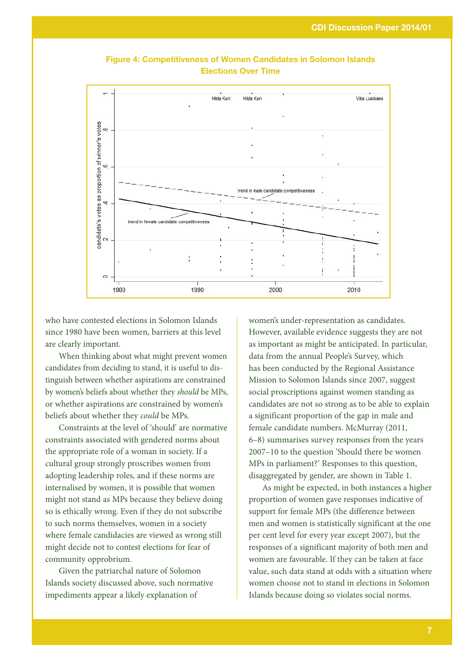

Figure 4: Competitiveness of Women Candidates in Solomon Islands Elections Over Time

who have contested elections in Solomon Islands since 1980 have been women, barriers at this level are clearly important.

When thinking about what might prevent women candidates from deciding to stand, it is useful to distinguish between whether aspirations are constrained by women's beliefs about whether they *should* be MPs, or whether aspirations are constrained by women's beliefs about whether they *could* be MPs.

Constraints at the level of 'should' are normative constraints associated with gendered norms about the appropriate role of a woman in society. If a cultural group strongly proscribes women from adopting leadership roles, and if these norms are internalised by women, it is possible that women might not stand as MPs because they believe doing so is ethically wrong. Even if they do not subscribe to such norms themselves, women in a society where female candidacies are viewed as wrong still might decide not to contest elections for fear of community opprobrium.

Given the patriarchal nature of Solomon Islands society discussed above, such normative impediments appear a likely explanation of

women's under-representation as candidates. However, available evidence suggests they are not as important as might be anticipated. In particular, data from the annual People's Survey, which has been conducted by the Regional Assistance Mission to Solomon Islands since 2007, suggest social proscriptions against women standing as candidates are not so strong as to be able to explain a significant proportion of the gap in male and female candidate numbers. McMurray (2011, 6–8) summarises survey responses from the years 2007–10 to the question 'Should there be women MPs in parliament?' Responses to this question, disaggregated by gender, are shown in Table 1.

As might be expected, in both instances a higher proportion of women gave responses indicative of support for female MPs (the difference between men and women is statistically significant at the one per cent level for every year except 2007), but the responses of a significant majority of both men and women are favourable. If they can be taken at face value, such data stand at odds with a situation where women choose not to stand in elections in Solomon Islands because doing so violates social norms.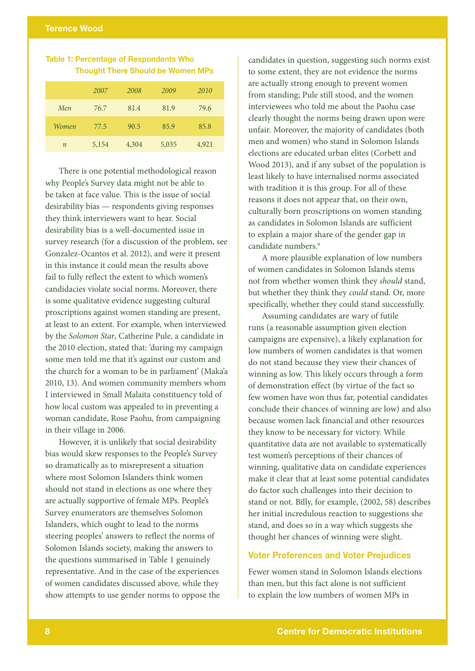## Table 1: Percentage of Respondents Who Thought There Should be Women MPs

|                  | 2007  | 2008  | 2009  | 2010  |
|------------------|-------|-------|-------|-------|
| Men              | 76.7  | 81.4  | 81.9  | 79.6  |
| Women            | 77.5  | 90.5  | 85.9  | 85.8  |
| $\boldsymbol{n}$ | 5,154 | 4,304 | 5,035 | 4,921 |

There is one potential methodological reason why People's Survey data might not be able to be taken at face value. This is the issue of social desirability bias — respondents giving responses they think interviewers want to hear. Social desirability bias is a well-documented issue in survey research (for a discussion of the problem, see Gonzalez-Ocantos et al. 2012), and were it present in this instance it could mean the results above fail to fully reflect the extent to which women's candidacies violate social norms. Moreover, there is some qualitative evidence suggesting cultural proscriptions against women standing are present, at least to an extent. For example, when interviewed by the *Solomon Star*, Catherine Pule, a candidate in the 2010 election, stated that: 'during my campaign some men told me that it's against our custom and the church for a woman to be in parliament' (Maka'a 2010, 13). And women community members whom I interviewed in Small Malaita constituency told of how local custom was appealed to in preventing a woman candidate, Rose Paohu, from campaigning in their village in 2006.

However, it is unlikely that social desirability bias would skew responses to the People's Survey so dramatically as to misrepresent a situation where most Solomon Islanders think women should not stand in elections as one where they are actually supportive of female MPs. People's Survey enumerators are themselves Solomon Islanders, which ought to lead to the norms steering peoples' answers to reflect the norms of Solomon Islands society, making the answers to the questions summarised in Table 1 genuinely representative. And in the case of the experiences of women candidates discussed above, while they show attempts to use gender norms to oppose the candidates in question, suggesting such norms exist to some extent, they are not evidence the norms are actually strong enough to prevent women from standing; Pule still stood, and the women interviewees who told me about the Paohu case clearly thought the norms being drawn upon were unfair. Moreover, the majority of candidates (both men and women) who stand in Solomon Islands elections are educated urban elites (Corbett and Wood 2013), and if any subset of the population is least likely to have internalised norms associated with tradition it is this group. For all of these reasons it does not appear that, on their own, culturally born proscriptions on women standing as candidates in Solomon Islands are sufficient to explain a major share of the gender gap in candidate numbers.<sup>9</sup>

A more plausible explanation of low numbers of women candidates in Solomon Islands stems not from whether women think they *should* stand, but whether they think they *could* stand. Or, more specifically, whether they could stand successfully.

Assuming candidates are wary of futile runs (a reasonable assumption given election campaigns are expensive), a likely explanation for low numbers of women candidates is that women do not stand because they view their chances of winning as low. This likely occurs through a form of demonstration effect (by virtue of the fact so few women have won thus far, potential candidates conclude their chances of winning are low) and also because women lack financial and other resources they know to be necessary for victory. While quantitative data are not available to systematically test women's perceptions of their chances of winning, qualitative data on candidate experiences make it clear that at least some potential candidates do factor such challenges into their decision to stand or not. Billy, for example, (2002, 58) describes her initial incredulous reaction to suggestions she stand, and does so in a way which suggests she thought her chances of winning were slight.

## Voter Preferences and Voter Prejudices

Fewer women stand in Solomon Islands elections than men, but this fact alone is not sufficient to explain the low numbers of women MPs in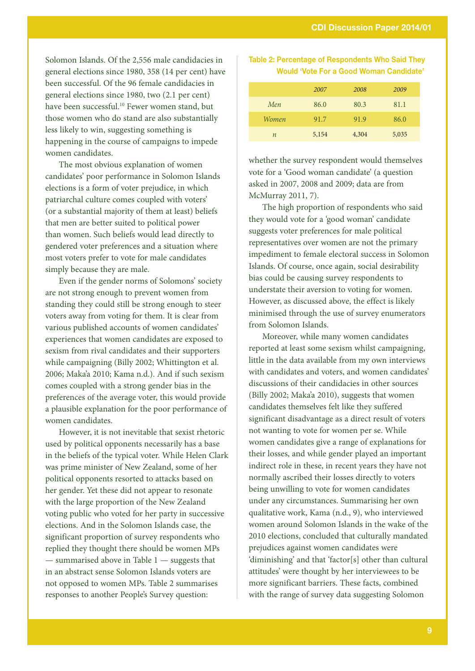Solomon Islands. Of the 2,556 male candidacies in general elections since 1980, 358 (14 per cent) have been successful. Of the 96 female candidacies in general elections since 1980, two (2.1 per cent) have been successful.<sup>10</sup> Fewer women stand, but those women who do stand are also substantially less likely to win, suggesting something is happening in the course of campaigns to impede women candidates.

The most obvious explanation of women candidates' poor performance in Solomon Islands elections is a form of voter prejudice, in which patriarchal culture comes coupled with voters' (or a substantial majority of them at least) beliefs that men are better suited to political power than women. Such beliefs would lead directly to gendered voter preferences and a situation where most voters prefer to vote for male candidates simply because they are male.

Even if the gender norms of Solomons' society are not strong enough to prevent women from standing they could still be strong enough to steer voters away from voting for them. It is clear from various published accounts of women candidates' experiences that women candidates are exposed to sexism from rival candidates and their supporters while campaigning (Billy 2002; Whittington et al. 2006; Maka'a 2010; Kama n.d.). And if such sexism comes coupled with a strong gender bias in the preferences of the average voter, this would provide a plausible explanation for the poor performance of women candidates.

However, it is not inevitable that sexist rhetoric used by political opponents necessarily has a base in the beliefs of the typical voter. While Helen Clark was prime minister of New Zealand, some of her political opponents resorted to attacks based on her gender. Yet these did not appear to resonate with the large proportion of the New Zealand voting public who voted for her party in successive elections. And in the Solomon Islands case, the significant proportion of survey respondents who replied they thought there should be women MPs — summarised above in Table 1 — suggests that in an abstract sense Solomon Islands voters are not opposed to women MPs. Table 2 summarises responses to another People's Survey question:

| Table 2: Percentage of Respondents Who Said They |  |  |
|--------------------------------------------------|--|--|
| <b>Would 'Vote For a Good Woman Candidate'</b>   |  |  |

|       | 2007  | 2008  | 2009  |
|-------|-------|-------|-------|
| Men   | 86.0  | 80.3  | 81.1  |
| Women | 91.7  | 91.9  | 86.0  |
| n     | 5,154 | 4,304 | 5,035 |

whether the survey respondent would themselves vote for a 'Good woman candidate' (a question asked in 2007, 2008 and 2009; data are from McMurray 2011, 7).

The high proportion of respondents who said they would vote for a 'good woman' candidate suggests voter preferences for male political representatives over women are not the primary impediment to female electoral success in Solomon Islands. Of course, once again, social desirability bias could be causing survey respondents to understate their aversion to voting for women. However, as discussed above, the effect is likely minimised through the use of survey enumerators from Solomon Islands.

Moreover, while many women candidates reported at least some sexism whilst campaigning, little in the data available from my own interviews with candidates and voters, and women candidates' discussions of their candidacies in other sources (Billy 2002; Maka'a 2010), suggests that women candidates themselves felt like they suffered significant disadvantage as a direct result of voters not wanting to vote for women per se. While women candidates give a range of explanations for their losses, and while gender played an important indirect role in these, in recent years they have not normally ascribed their losses directly to voters being unwilling to vote for women candidates under any circumstances. Summarising her own qualitative work, Kama (n.d., 9), who interviewed women around Solomon Islands in the wake of the 2010 elections, concluded that culturally mandated prejudices against women candidates were 'diminishing' and that 'factor[s] other than cultural attitudes' were thought by her interviewees to be more significant barriers. These facts, combined with the range of survey data suggesting Solomon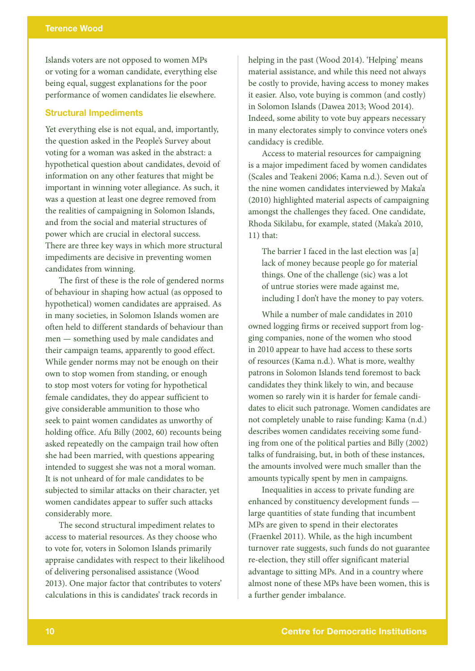Islands voters are not opposed to women MPs or voting for a woman candidate, everything else being equal, suggest explanations for the poor performance of women candidates lie elsewhere.

## Structural Impediments

Yet everything else is not equal, and, importantly, the question asked in the People's Survey about voting for a woman was asked in the abstract: a hypothetical question about candidates, devoid of information on any other features that might be important in winning voter allegiance. As such, it was a question at least one degree removed from the realities of campaigning in Solomon Islands, and from the social and material structures of power which are crucial in electoral success. There are three key ways in which more structural impediments are decisive in preventing women candidates from winning.

The first of these is the role of gendered norms of behaviour in shaping how actual (as opposed to hypothetical) women candidates are appraised. As in many societies, in Solomon Islands women are often held to different standards of behaviour than men — something used by male candidates and their campaign teams, apparently to good effect. While gender norms may not be enough on their own to stop women from standing, or enough to stop most voters for voting for hypothetical female candidates, they do appear sufficient to give considerable ammunition to those who seek to paint women candidates as unworthy of holding office. Afu Billy (2002, 60) recounts being asked repeatedly on the campaign trail how often she had been married, with questions appearing intended to suggest she was not a moral woman. It is not unheard of for male candidates to be subjected to similar attacks on their character, yet women candidates appear to suffer such attacks considerably more.

The second structural impediment relates to access to material resources. As they choose who to vote for, voters in Solomon Islands primarily appraise candidates with respect to their likelihood of delivering personalised assistance (Wood 2013). One major factor that contributes to voters' calculations in this is candidates' track records in

helping in the past (Wood 2014). 'Helping' means material assistance, and while this need not always be costly to provide, having access to money makes it easier. Also, vote buying is common (and costly) in Solomon Islands (Dawea 2013; Wood 2014). Indeed, some ability to vote buy appears necessary in many electorates simply to convince voters one's candidacy is credible.

Access to material resources for campaigning is a major impediment faced by women candidates (Scales and Teakeni 2006; Kama n.d.). Seven out of the nine women candidates interviewed by Maka'a (2010) highlighted material aspects of campaigning amongst the challenges they faced. One candidate, Rhoda Sikilabu, for example, stated (Maka'a 2010, 11) that:

The barrier I faced in the last election was [a] lack of money because people go for material things. One of the challenge (sic) was a lot of untrue stories were made against me, including I don't have the money to pay voters.

While a number of male candidates in 2010 owned logging firms or received support from logging companies, none of the women who stood in 2010 appear to have had access to these sorts of resources (Kama n.d.). What is more, wealthy patrons in Solomon Islands tend foremost to back candidates they think likely to win, and because women so rarely win it is harder for female candidates to elicit such patronage. Women candidates are not completely unable to raise funding: Kama (n.d.) describes women candidates receiving some funding from one of the political parties and Billy (2002) talks of fundraising, but, in both of these instances, the amounts involved were much smaller than the amounts typically spent by men in campaigns.

Inequalities in access to private funding are enhanced by constituency development funds large quantities of state funding that incumbent MPs are given to spend in their electorates (Fraenkel 2011). While, as the high incumbent turnover rate suggests, such funds do not guarantee re-election, they still offer significant material advantage to sitting MPs. And in a country where almost none of these MPs have been women, this is a further gender imbalance.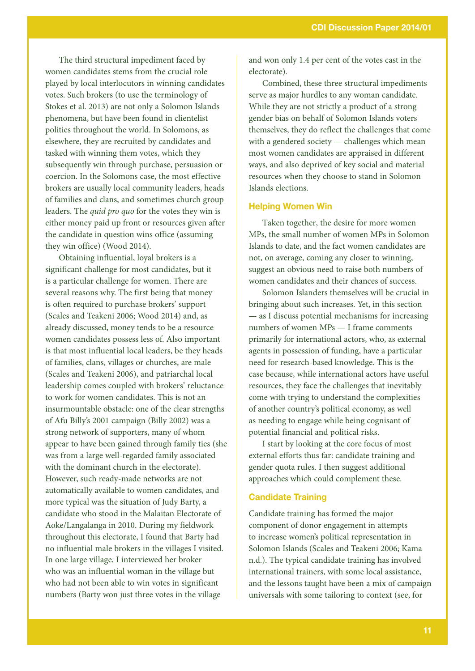The third structural impediment faced by women candidates stems from the crucial role played by local interlocutors in winning candidates votes. Such brokers (to use the terminology of Stokes et al. 2013) are not only a Solomon Islands phenomena, but have been found in clientelist polities throughout the world. In Solomons, as elsewhere, they are recruited by candidates and tasked with winning them votes, which they subsequently win through purchase, persuasion or coercion. In the Solomons case, the most effective brokers are usually local community leaders, heads of families and clans, and sometimes church group leaders. The *quid pro quo* for the votes they win is either money paid up front or resources given after the candidate in question wins office (assuming they win office) (Wood 2014).

Obtaining influential, loyal brokers is a significant challenge for most candidates, but it is a particular challenge for women. There are several reasons why. The first being that money is often required to purchase brokers' support (Scales and Teakeni 2006; Wood 2014) and, as already discussed, money tends to be a resource women candidates possess less of. Also important is that most influential local leaders, be they heads of families, clans, villages or churches, are male (Scales and Teakeni 2006), and patriarchal local leadership comes coupled with brokers' reluctance to work for women candidates. This is not an insurmountable obstacle: one of the clear strengths of Afu Billy's 2001 campaign (Billy 2002) was a strong network of supporters, many of whom appear to have been gained through family ties (she was from a large well-regarded family associated with the dominant church in the electorate). However, such ready-made networks are not automatically available to women candidates, and more typical was the situation of Judy Barty, a candidate who stood in the Malaitan Electorate of Aoke/Langalanga in 2010. During my fieldwork throughout this electorate, I found that Barty had no influential male brokers in the villages I visited. In one large village, I interviewed her broker who was an influential woman in the village but who had not been able to win votes in significant numbers (Barty won just three votes in the village

and won only 1.4 per cent of the votes cast in the electorate).

Combined, these three structural impediments serve as major hurdles to any woman candidate. While they are not strictly a product of a strong gender bias on behalf of Solomon Islands voters themselves, they do reflect the challenges that come with a gendered society — challenges which mean most women candidates are appraised in different ways, and also deprived of key social and material resources when they choose to stand in Solomon Islands elections.

#### Helping Women Win

Taken together, the desire for more women MPs, the small number of women MPs in Solomon Islands to date, and the fact women candidates are not, on average, coming any closer to winning, suggest an obvious need to raise both numbers of women candidates and their chances of success.

Solomon Islanders themselves will be crucial in bringing about such increases. Yet, in this section — as I discuss potential mechanisms for increasing numbers of women MPs — I frame comments primarily for international actors, who, as external agents in possession of funding, have a particular need for research-based knowledge. This is the case because, while international actors have useful resources, they face the challenges that inevitably come with trying to understand the complexities of another country's political economy, as well as needing to engage while being cognisant of potential financial and political risks.

I start by looking at the core focus of most external efforts thus far: candidate training and gender quota rules. I then suggest additional approaches which could complement these.

## Candidate Training

Candidate training has formed the major component of donor engagement in attempts to increase women's political representation in Solomon Islands (Scales and Teakeni 2006; Kama n.d.). The typical candidate training has involved international trainers, with some local assistance, and the lessons taught have been a mix of campaign universals with some tailoring to context (see, for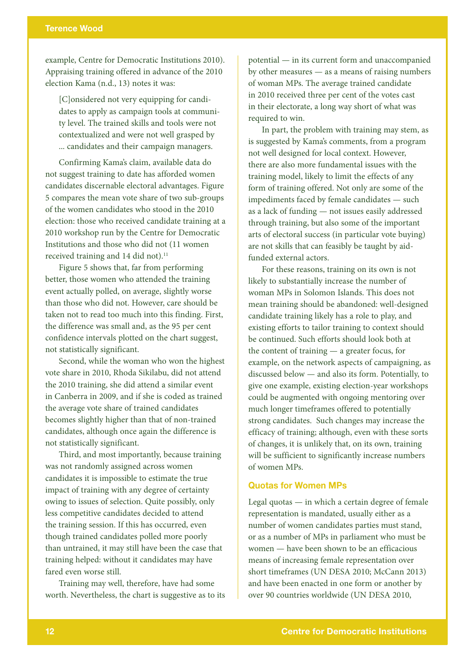## Terence Wood

example, Centre for Democratic Institutions 2010). Appraising training offered in advance of the 2010 election Kama (n.d., 13) notes it was:

[C]onsidered not very equipping for candidates to apply as campaign tools at community level. The trained skills and tools were not contextualized and were not well grasped by ... candidates and their campaign managers.

Confirming Kama's claim, available data do not suggest training to date has afforded women candidates discernable electoral advantages. Figure 5 compares the mean vote share of two sub-groups of the women candidates who stood in the 2010 election: those who received candidate training at a 2010 workshop run by the Centre for Democratic Institutions and those who did not (11 women received training and 14 did not).<sup>11</sup>

Figure 5 shows that, far from performing better, those women who attended the training event actually polled, on average, slightly worse than those who did not. However, care should be taken not to read too much into this finding. First, the difference was small and, as the 95 per cent confidence intervals plotted on the chart suggest, not statistically significant.

Second, while the woman who won the highest vote share in 2010, Rhoda Sikilabu, did not attend the 2010 training, she did attend a similar event in Canberra in 2009, and if she is coded as trained the average vote share of trained candidates becomes slightly higher than that of non-trained candidates, although once again the difference is not statistically significant.

Third, and most importantly, because training was not randomly assigned across women candidates it is impossible to estimate the true impact of training with any degree of certainty owing to issues of selection. Quite possibly, only less competitive candidates decided to attend the training session. If this has occurred, even though trained candidates polled more poorly than untrained, it may still have been the case that training helped: without it candidates may have fared even worse still.

Training may well, therefore, have had some worth. Nevertheless, the chart is suggestive as to its potential — in its current form and unaccompanied by other measures — as a means of raising numbers of woman MPs. The average trained candidate in 2010 received three per cent of the votes cast in their electorate, a long way short of what was required to win.

In part, the problem with training may stem, as is suggested by Kama's comments, from a program not well designed for local context. However, there are also more fundamental issues with the training model, likely to limit the effects of any form of training offered. Not only are some of the impediments faced by female candidates — such as a lack of funding — not issues easily addressed through training, but also some of the important arts of electoral success (in particular vote buying) are not skills that can feasibly be taught by aidfunded external actors.

For these reasons, training on its own is not likely to substantially increase the number of woman MPs in Solomon Islands. This does not mean training should be abandoned: well-designed candidate training likely has a role to play, and existing efforts to tailor training to context should be continued. Such efforts should look both at the content of training — a greater focus, for example, on the network aspects of campaigning, as discussed below — and also its form. Potentially, to give one example, existing election-year workshops could be augmented with ongoing mentoring over much longer timeframes offered to potentially strong candidates. Such changes may increase the efficacy of training; although, even with these sorts of changes, it is unlikely that, on its own, training will be sufficient to significantly increase numbers of women MPs.

#### Quotas for Women MPs

Legal quotas — in which a certain degree of female representation is mandated, usually either as a number of women candidates parties must stand, or as a number of MPs in parliament who must be women — have been shown to be an efficacious means of increasing female representation over short timeframes (UN DESA 2010; McCann 2013) and have been enacted in one form or another by over 90 countries worldwide (UN DESA 2010,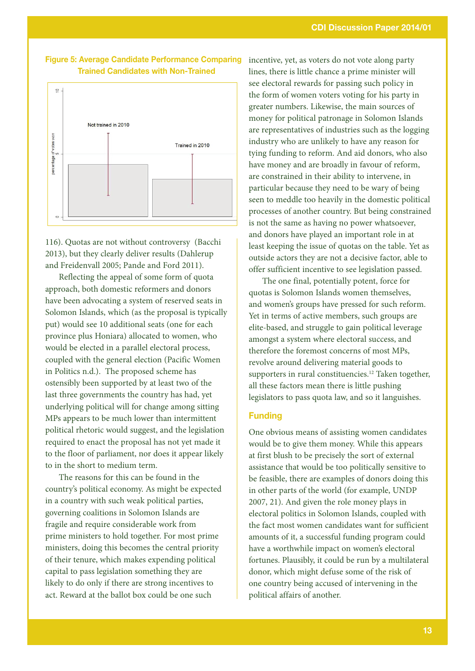



116). Quotas are not without controversy (Bacchi 2013), but they clearly deliver results (Dahlerup and Freidenvall 2005; Pande and Ford 2011).

Reflecting the appeal of some form of quota approach, both domestic reformers and donors have been advocating a system of reserved seats in Solomon Islands, which (as the proposal is typically put) would see 10 additional seats (one for each province plus Honiara) allocated to women, who would be elected in a parallel electoral process, coupled with the general election (Pacific Women in Politics n.d.). The proposed scheme has ostensibly been supported by at least two of the last three governments the country has had, yet underlying political will for change among sitting MPs appears to be much lower than intermittent political rhetoric would suggest, and the legislation required to enact the proposal has not yet made it to the floor of parliament, nor does it appear likely to in the short to medium term.

The reasons for this can be found in the country's political economy. As might be expected in a country with such weak political parties, governing coalitions in Solomon Islands are fragile and require considerable work from prime ministers to hold together. For most prime ministers, doing this becomes the central priority of their tenure, which makes expending political capital to pass legislation something they are likely to do only if there are strong incentives to act. Reward at the ballot box could be one such

incentive, yet, as voters do not vote along party lines, there is little chance a prime minister will see electoral rewards for passing such policy in the form of women voters voting for his party in greater numbers. Likewise, the main sources of money for political patronage in Solomon Islands are representatives of industries such as the logging industry who are unlikely to have any reason for tying funding to reform. And aid donors, who also have money and are broadly in favour of reform, are constrained in their ability to intervene, in particular because they need to be wary of being seen to meddle too heavily in the domestic political processes of another country. But being constrained is not the same as having no power whatsoever, and donors have played an important role in at least keeping the issue of quotas on the table. Yet as outside actors they are not a decisive factor, able to offer sufficient incentive to see legislation passed.

The one final, potentially potent, force for quotas is Solomon Islands women themselves, and women's groups have pressed for such reform. Yet in terms of active members, such groups are elite-based, and struggle to gain political leverage amongst a system where electoral success, and therefore the foremost concerns of most MPs, revolve around delivering material goods to supporters in rural constituencies.12 Taken together, all these factors mean there is little pushing legislators to pass quota law, and so it languishes.

## Funding

One obvious means of assisting women candidates would be to give them money. While this appears at first blush to be precisely the sort of external assistance that would be too politically sensitive to be feasible, there are examples of donors doing this in other parts of the world (for example, UNDP 2007, 21). And given the role money plays in electoral politics in Solomon Islands, coupled with the fact most women candidates want for sufficient amounts of it, a successful funding program could have a worthwhile impact on women's electoral fortunes. Plausibly, it could be run by a multilateral donor, which might defuse some of the risk of one country being accused of intervening in the political affairs of another.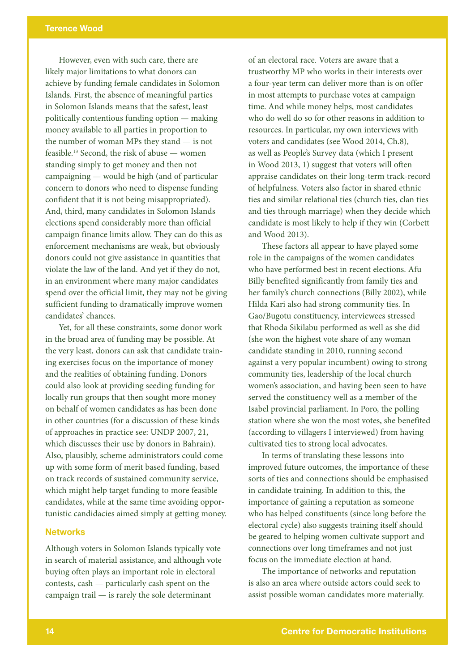However, even with such care, there are likely major limitations to what donors can achieve by funding female candidates in Solomon Islands. First, the absence of meaningful parties in Solomon Islands means that the safest, least politically contentious funding option — making money available to all parties in proportion to the number of woman MPs they stand — is not feasible.<sup>13</sup> Second, the risk of abuse — women standing simply to get money and then not campaigning — would be high (and of particular concern to donors who need to dispense funding confident that it is not being misappropriated). And, third, many candidates in Solomon Islands elections spend considerably more than official campaign finance limits allow. They can do this as enforcement mechanisms are weak, but obviously donors could not give assistance in quantities that violate the law of the land. And yet if they do not, in an environment where many major candidates spend over the official limit, they may not be giving sufficient funding to dramatically improve women candidates' chances.

Yet, for all these constraints, some donor work in the broad area of funding may be possible. At the very least, donors can ask that candidate training exercises focus on the importance of money and the realities of obtaining funding. Donors could also look at providing seeding funding for locally run groups that then sought more money on behalf of women candidates as has been done in other countries (for a discussion of these kinds of approaches in practice see: UNDP 2007, 21, which discusses their use by donors in Bahrain). Also, plausibly, scheme administrators could come up with some form of merit based funding, based on track records of sustained community service, which might help target funding to more feasible candidates, while at the same time avoiding opportunistic candidacies aimed simply at getting money.

#### **Networks**

Although voters in Solomon Islands typically vote in search of material assistance, and although vote buying often plays an important role in electoral contests, cash — particularly cash spent on the campaign trail — is rarely the sole determinant

of an electoral race. Voters are aware that a trustworthy MP who works in their interests over a four-year term can deliver more than is on offer in most attempts to purchase votes at campaign time. And while money helps, most candidates who do well do so for other reasons in addition to resources. In particular, my own interviews with voters and candidates (see Wood 2014, Ch.8), as well as People's Survey data (which I present in Wood 2013, 1) suggest that voters will often appraise candidates on their long-term track-record of helpfulness. Voters also factor in shared ethnic ties and similar relational ties (church ties, clan ties and ties through marriage) when they decide which candidate is most likely to help if they win (Corbett and Wood 2013).

These factors all appear to have played some role in the campaigns of the women candidates who have performed best in recent elections. Afu Billy benefited significantly from family ties and her family's church connections (Billy 2002), while Hilda Kari also had strong community ties. In Gao/Bugotu constituency, interviewees stressed that Rhoda Sikilabu performed as well as she did (she won the highest vote share of any woman candidate standing in 2010, running second against a very popular incumbent) owing to strong community ties, leadership of the local church women's association, and having been seen to have served the constituency well as a member of the Isabel provincial parliament. In Poro, the polling station where she won the most votes, she benefited (according to villagers I interviewed) from having cultivated ties to strong local advocates.

In terms of translating these lessons into improved future outcomes, the importance of these sorts of ties and connections should be emphasised in candidate training. In addition to this, the importance of gaining a reputation as someone who has helped constituents (since long before the electoral cycle) also suggests training itself should be geared to helping women cultivate support and connections over long timeframes and not just focus on the immediate election at hand.

The importance of networks and reputation is also an area where outside actors could seek to assist possible woman candidates more materially.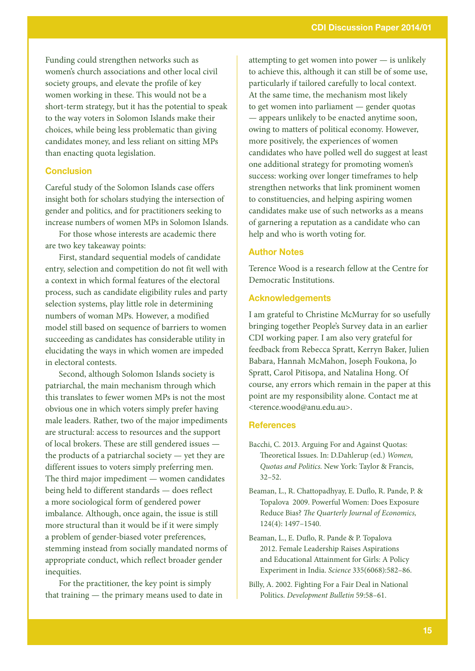Funding could strengthen networks such as women's church associations and other local civil society groups, and elevate the profile of key women working in these. This would not be a short-term strategy, but it has the potential to speak to the way voters in Solomon Islands make their choices, while being less problematic than giving candidates money, and less reliant on sitting MPs than enacting quota legislation.

## Conclusion

Careful study of the Solomon Islands case offers insight both for scholars studying the intersection of gender and politics, and for practitioners seeking to increase numbers of women MPs in Solomon Islands.

For those whose interests are academic there are two key takeaway points:

First, standard sequential models of candidate entry, selection and competition do not fit well with a context in which formal features of the electoral process, such as candidate eligibility rules and party selection systems, play little role in determining numbers of woman MPs. However, a modified model still based on sequence of barriers to women succeeding as candidates has considerable utility in elucidating the ways in which women are impeded in electoral contests.

Second, although Solomon Islands society is patriarchal, the main mechanism through which this translates to fewer women MPs is not the most obvious one in which voters simply prefer having male leaders. Rather, two of the major impediments are structural: access to resources and the support of local brokers. These are still gendered issues the products of a patriarchal society — yet they are different issues to voters simply preferring men. The third major impediment — women candidates being held to different standards — does reflect a more sociological form of gendered power imbalance. Although, once again, the issue is still more structural than it would be if it were simply a problem of gender-biased voter preferences, stemming instead from socially mandated norms of appropriate conduct, which reflect broader gender inequities.

For the practitioner, the key point is simply that training — the primary means used to date in attempting to get women into power — is unlikely to achieve this, although it can still be of some use, particularly if tailored carefully to local context. At the same time, the mechanism most likely to get women into parliament — gender quotas — appears unlikely to be enacted anytime soon, owing to matters of political economy. However, more positively, the experiences of women candidates who have polled well do suggest at least one additional strategy for promoting women's success: working over longer timeframes to help strengthen networks that link prominent women to constituencies, and helping aspiring women candidates make use of such networks as a means of garnering a reputation as a candidate who can help and who is worth voting for.

#### Author Notes

Terence Wood is a research fellow at the Centre for Democratic Institutions.

#### Acknowledgements

I am grateful to Christine McMurray for so usefully bringing together People's Survey data in an earlier CDI working paper. I am also very grateful for feedback from Rebecca Spratt, Kerryn Baker, Julien Babara, Hannah McMahon, Joseph Foukona, Jo Spratt, Carol Pitisopa, and Natalina Hong. Of course, any errors which remain in the paper at this point are my responsibility alone. Contact me at <terence.wood@anu.edu.au>.

#### **References**

- Bacchi, C. 2013. Arguing For and Against Quotas: Theoretical Issues. In: D.Dahlerup (ed.) *Women, Quotas and Politics.* New York: Taylor & Francis, 32–52.
- Beaman, L., R. Chattopadhyay, E. Duflo, R. Pande, P. & Topalova 2009. Powerful Women: Does Exposure Reduce Bias? *The Quarterly Journal of Economics,* 124(4): 1497–1540.
- Beaman, L., E. Duflo, R. Pande & P. Topalova 2012. Female Leadership Raises Aspirations and Educational Attainment for Girls: A Policy Experiment in India. *Science* 335(6068):582–86.
- Billy, A. 2002. Fighting For a Fair Deal in National Politics. *Development Bulletin* 59:58–61.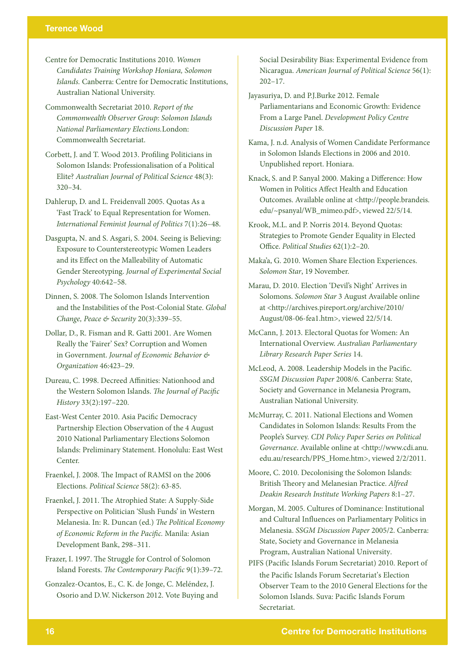- Centre for Democratic Institutions 2010. *Women Candidates Training Workshop Honiara, Solomon Islands.* Canberra: Centre for Democratic Institutions, Australian National University.
- Commonwealth Secretariat 2010. *Report of the Commonwealth Observer Group: Solomon Islands National Parliamentary Elections.*London: Commonwealth Secretariat.
- Corbett, J. and T. Wood 2013. Profiling Politicians in Solomon Islands: Professionalisation of a Political Elite? *Australian Journal of Political Science* 48(3): 320–34.
- Dahlerup, D. and L. Freidenvall 2005. Quotas As a 'Fast Track' to Equal Representation for Women. *International Feminist Journal of Politics* 7(1):26–48.
- Dasgupta, N. and S. Asgari, S. 2004. Seeing is Believing: Exposure to Counterstereotypic Women Leaders and its Effect on the Malleability of Automatic Gender Stereotyping. *Journal of Experimental Social Psychology* 40:642–58.
- Dinnen, S. 2008. The Solomon Islands Intervention and the Instabilities of the Post-Colonial State. *Global Change, Peace & Security* 20(3):339–55.
- Dollar, D., R. Fisman and R. Gatti 2001. Are Women Really the 'Fairer' Sex? Corruption and Women in Government. *Journal of Economic Behavior & Organization* 46:423–29.
- Dureau, C. 1998. Decreed Affinities: Nationhood and the Western Solomon Islands. *The Journal of Pacific History* 33(2):197–220.
- East-West Center 2010. Asia Pacific Democracy Partnership Election Observation of the 4 August 2010 National Parliamentary Elections Solomon Islands: Preliminary Statement. Honolulu: East West Center.
- Fraenkel, J. 2008. The Impact of RAMSI on the 2006 Elections. *Political Science* 58(2): 63-85.
- Fraenkel, J. 2011. The Atrophied State: A Supply-Side Perspective on Politician 'Slush Funds' in Western Melanesia. In: R. Duncan (ed.) *The Political Economy of Economic Reform in the Pacific.* Manila: Asian Development Bank, 298–311.
- Frazer, I. 1997. The Struggle for Control of Solomon Island Forests. *The Contemporary Pacific* 9(1):39–72.
- Gonzalez-Ocantos, E., C. K. de Jonge, C. Meléndez, J. Osorio and D.W. Nickerson 2012. Vote Buying and

Social Desirability Bias: Experimental Evidence from Nicaragua. *American Journal of Political Science* 56(1): 202–17.

- Jayasuriya, D. and P.J.Burke 2012. Female Parliamentarians and Economic Growth: Evidence From a Large Panel. *Development Policy Centre Discussion Paper* 18.
- Kama, J. n.d. Analysis of Women Candidate Performance in Solomon Islands Elections in 2006 and 2010. Unpublished report. Honiara.
- Knack, S. and P. Sanyal 2000. Making a Difference: How Women in Politics Affect Health and Education Outcomes. Available online at <http://people.brandeis. edu/~psanyal/WB\_mimeo.pdf>, viewed 22/5/14.
- Krook, M.L. and P. Norris 2014. Beyond Quotas: Strategies to Promote Gender Equality in Elected Office. *Political Studies* 62(1):2–20.
- Maka'a, G. 2010. Women Share Election Experiences. *Solomon Star*, 19 November.
- Marau, D. 2010. Election 'Devil's Night' Arrives in Solomons. *Solomon Star* 3 August Available online at <http://archives.pireport.org/archive/2010/ August/08-06-fea1.htm>, viewed 22/5/14.
- McCann, J. 2013. Electoral Quotas for Women: An International Overview. *Australian Parliamentary Library Research Paper Series* 14.
- McLeod, A. 2008. Leadership Models in the Pacific. *SSGM Discussion Paper* 2008/6. Canberra: State, Society and Governance in Melanesia Program, Australian National University.
- McMurray, C. 2011. National Elections and Women Candidates in Solomon Islands: Results From the People's Survey. *CDI Policy Paper Series on Political Governance*. Available online at <http://www.cdi.anu. edu.au/research/PPS\_Home.htm>, viewed 2/2/2011.
- Moore, C. 2010. Decolonising the Solomon Islands: British Theory and Melanesian Practice. *Alfred Deakin Research Institute Working Papers* 8:1–27.
- Morgan, M. 2005. Cultures of Dominance: Institutional and Cultural Influences on Parliamentary Politics in Melanesia. *SSGM Discussion Paper* 2005/2. Canberra: State, Society and Governance in Melanesia Program, Australian National University.
- PIFS (Pacific Islands Forum Secretariat) 2010. Report of the Pacific Islands Forum Secretariat's Election Observer Team to the 2010 General Elections for the Solomon Islands. Suva: Pacific Islands Forum Secretariat.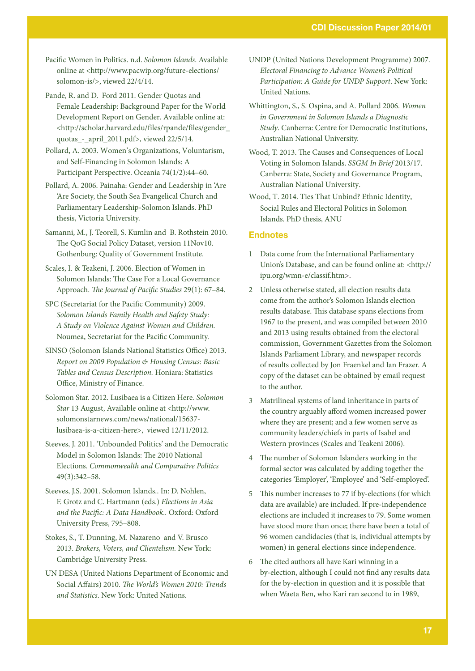Pacific Women in Politics. n.d. *Solomon Islands*. Available online at <http://www.pacwip.org/future-elections/ solomon-is/>, viewed 22/4/14.

- Pande, R. and D. Ford 2011. Gender Quotas and Female Leadership: Background Paper for the World Development Report on Gender. Available online at: <http://scholar.harvard.edu/files/rpande/files/gender\_ quotas\_-\_april\_2011.pdf>, viewed 22/5/14.
- Pollard, A. 2003. Women's Organizations, Voluntarism, and Self-Financing in Solomon Islands: A Participant Perspective. Oceania 74(1/2):44–60.
- Pollard, A. 2006. Painaha: Gender and Leadership in 'Are 'Are Society, the South Sea Evangelical Church and Parliamentary Leadership-Solomon Islands. PhD thesis, Victoria University.
- Samanni, M., J. Teorell, S. Kumlin and B. Rothstein 2010. The QoG Social Policy Dataset, version 11Nov10. Gothenburg: Quality of Government Institute.
- Scales, I. & Teakeni, J. 2006. Election of Women in Solomon Islands: The Case For a Local Governance Approach. *The Journal of Pacific Studies* 29(1): 67–84.
- SPC (Secretariat for the Pacific Community) 2009. *Solomon Islands Family Health and Safety Study: A Study on Violence Against Women and Children.*  Noumea, Secretariat for the Pacific Community.
- SINSO (Solomon Islands National Statistics Office) 2013. *Report on 2009 Population & Housing Census: Basic Tables and Census Description.* Honiara: Statistics Office, Ministry of Finance.
- Solomon Star. 2012. Lusibaea is a Citizen Here*. Solomon Star* 13 August, Available online at <http://www. solomonstarnews.com/news/national/15637 lusibaea-is-a-citizen-here>, viewed 12/11/2012.
- Steeves, J. 2011. 'Unbounded Politics' and the Democratic Model in Solomon Islands: The 2010 National Elections. *Commonwealth and Comparative Politics* 49(3):342–58.
- Steeves, J.S. 2001. Solomon Islands.. In: D. Nohlen, F. Grotz and C. Hartmann (eds.) *Elections in Asia and the Pacific: A Data Handbook..* Oxford: Oxford University Press, 795–808.
- Stokes, S., T. Dunning, M. Nazareno and V. Brusco 2013. *Brokers, Voters, and Clientelism.* New York: Cambridge University Press.
- UN DESA (United Nations Department of Economic and Social Affairs) 2010. *The World's Women 2010: Trends and Statistics*. New York: United Nations.
- UNDP (United Nations Development Programme) 2007. *Electoral Financing to Advance Women's Political Participation: A Guide for UNDP Support*. New York: United Nations.
- Whittington, S., S. Ospina, and A. Pollard 2006. *Women in Government in Solomon Islands a Diagnostic Study*. Canberra: Centre for Democratic Institutions, Australian National University.
- Wood, T. 2013. The Causes and Consequences of Local Voting in Solomon Islands. *SSGM In Brief* 2013/17. Canberra: State, Society and Governance Program, Australian National University.
- Wood, T. 2014. Ties That Unbind? Ethnic Identity, Social Rules and Electoral Politics in Solomon Islands. PhD thesis, ANU

#### **Endnotes**

- 1 Data come from the International Parliamentary Union's Database, and can be found online at: <http:// ipu.org/wmn-e/classif.htm>.
- 2 Unless otherwise stated, all election results data come from the author's Solomon Islands election results database. This database spans elections from 1967 to the present, and was compiled between 2010 and 2013 using results obtained from the electoral commission, Government Gazettes from the Solomon Islands Parliament Library, and newspaper records of results collected by Jon Fraenkel and Ian Frazer. A copy of the dataset can be obtained by email request to the author.
- 3 Matrilineal systems of land inheritance in parts of the country arguably afford women increased power where they are present; and a few women serve as community leaders/chiefs in parts of Isabel and Western provinces (Scales and Teakeni 2006).
- 4 The number of Solomon Islanders working in the formal sector was calculated by adding together the categories 'Employer', 'Employee' and 'Self-employed'.
- 5 This number increases to 77 if by-elections (for which data are available) are included. If pre-independence elections are included it increases to 79. Some women have stood more than once; there have been a total of 96 women candidacies (that is, individual attempts by women) in general elections since independence.
- 6 The cited authors all have Kari winning in a by-election, although I could not find any results data for the by-election in question and it is possible that when Waeta Ben, who Kari ran second to in 1989,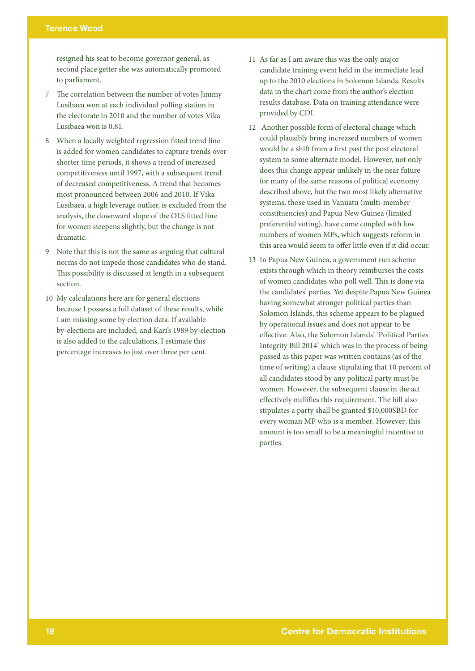## Terence Wood

resigned his seat to become governor general, as second place getter she was automatically promoted to parliament.

- 7 The correlation between the number of votes Jimmy Lusibaea won at each individual polling station in the electorate in 2010 and the number of votes Vika Lusibaea won is 0.81.
- 8 When a locally weighted regression fitted trend line is added for women candidates to capture trends over shorter time periods, it shows a trend of increased competitiveness until 1997, with a subsequent trend of decreased competitiveness. A trend that becomes most pronounced between 2006 and 2010. If Vika Lusibaea, a high leverage outlier, is excluded from the analysis, the downward slope of the OLS fitted line for women steepens slightly, but the change is not dramatic.
- 9 Note that this is not the same as arguing that cultural norms do not impede those candidates who do stand. This possibility is discussed at length in a subsequent section.
- 10 My calculations here are for general elections because I possess a full dataset of these results, while I am missing some by election data. If available by-elections are included, and Kari's 1989 by-election is also added to the calculations, I estimate this percentage increases to just over three per cent.
- 11 As far as I am aware this was the only major candidate training event held in the immediate lead up to the 2010 elections in Solomon Islands. Results data in the chart come from the author's election results database. Data on training attendance were provided by CDI.
- 12 Another possible form of electoral change which could plausibly bring increased numbers of women would be a shift from a first past the post electoral system to some alternate model. However, not only does this change appear unlikely in the near future for many of the same reasons of political economy described above, but the two most likely alternative systems, those used in Vanuatu (multi-member constituencies) and Papua New Guinea (limited preferential voting), have come coupled with low numbers of women MPs, which suggests reform in this area would seem to offer little even if it did occur.
- 13 In Papua New Guinea, a government run scheme exists through which in theory reimburses the costs of women candidates who poll well. This is done via the candidates' parties. Yet despite Papua New Guinea having somewhat stronger political parties than Solomon Islands, this scheme appears to be plagued by operational issues and does not appear to be effective. Also, the Solomon Islands' 'Political Parties Integrity Bill 2014' which was in the process of being passed as this paper was written contains (as of the time of writing) a clause stipulating that 10 percent of all candidates stood by any political party must be women. However, the subsequent clause in the act effectively nullifies this requirement. The bill also stipulates a party shall be granted \$10,000SBD for every woman MP who is a member. However, this amount is too small to be a meaningful incentive to parties.